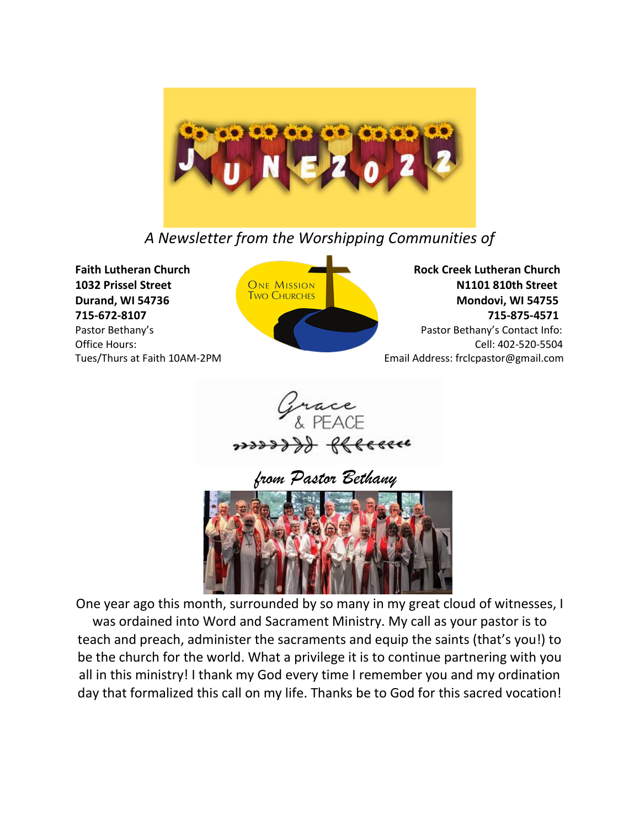

*A Newsletter from the Worshipping Communities of*



**1032 Prissel Street CONE MISSION CONE ALSO BE SEEN AT A STREET AND STREET AND STREET AND REALLY STREET AND STREET AND STREET AND STREET AND STREET AND STREET AND STREET AND STREET AND STREET AND STREET AND STREET AND STRE Durand, WI 54736** Mondovi, WI 54755 **715-672-8107 715-875-4571** Pastor Bethany'sPastor Bethany's Contact Info: Office Hours: Cell: 402-520-5504 Tues/Thurs at Faith 10AM-2PM Email Address: frclcpastor@gmail.com





One year ago this month, surrounded by so many in my great cloud of witnesses, I was ordained into Word and Sacrament Ministry. My call as your pastor is to teach and preach, administer the sacraments and equip the saints (that's you!) to be the church for the world. What a privilege it is to continue partnering with you all in this ministry! I thank my God every time I remember you and my ordination day that formalized this call on my life. Thanks be to God for this sacred vocation!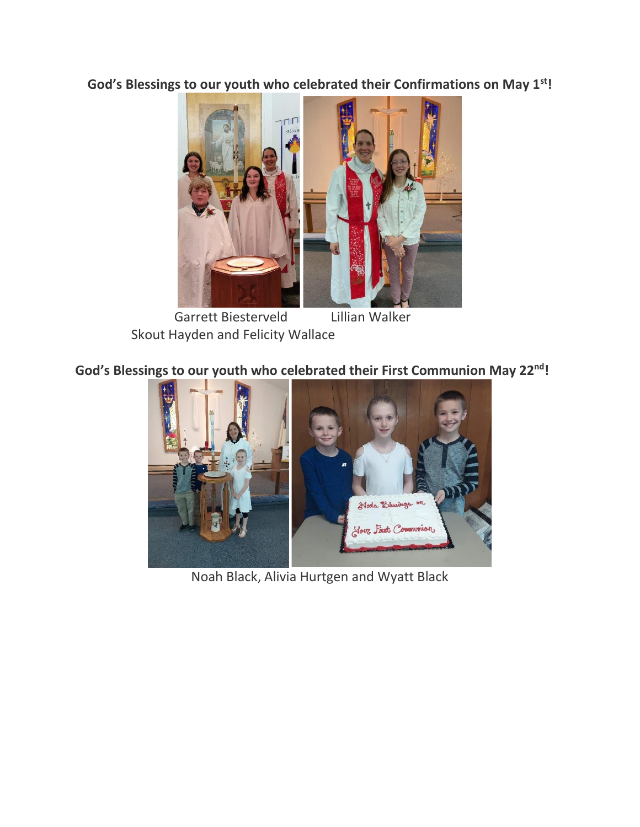**God's Blessings to our youth who celebrated their Confirmations on May 1st!** 



 Garrett Biesterveld Lillian Walker Skout Hayden and Felicity Wallace

**God's Blessings to our youth who celebrated their First Communion May 22nd!**



Noah Black, Alivia Hurtgen and Wyatt Black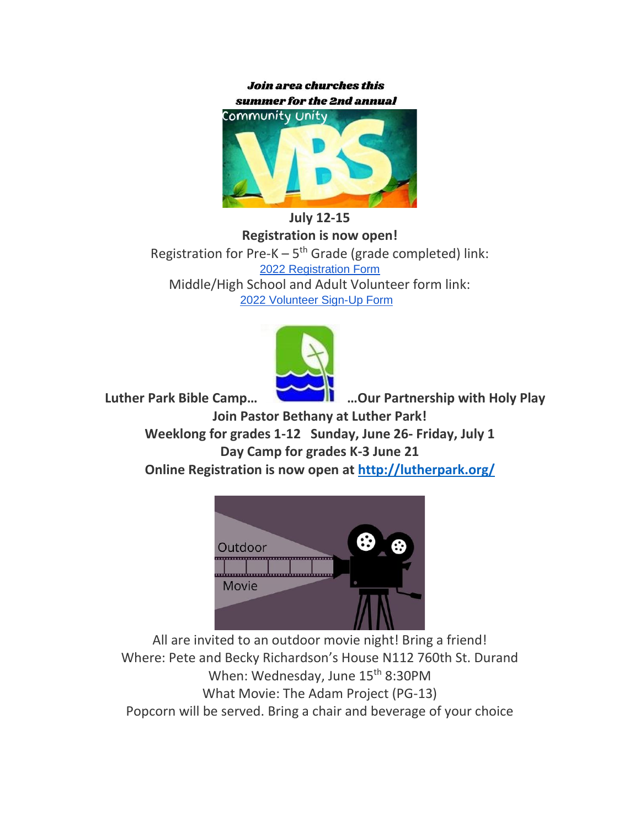**Join area churches this** summer for the 2nd annual



**July 12-15**

**Registration is now open!** Registration for Pre- $K - 5<sup>th</sup>$  Grade (grade completed) link: [2022 Registration Form](https://forms.gle/rUu6u2atC1GjEm7z7) Middle/High School and Adult Volunteer form link: [2022 Volunteer Sign-Up Form](https://forms.gle/jNjGGDCe7j9V2oNaA) 



 **Luther Park Bible Camp… …Our Partnership with Holy Play Join Pastor Bethany at Luther Park! Weeklong for grades 1-12 Sunday, June 26- Friday, July 1 Day Camp for grades K-3 June 21 Online Registration is now open at<http://lutherpark.org/>**



All are invited to an outdoor movie night! Bring a friend! Where: Pete and Becky Richardson's House N112 760th St. Durand When: Wednesday, June 15<sup>th</sup> 8:30PM What Movie: The Adam Project (PG-13) Popcorn will be served. Bring a chair and beverage of your choice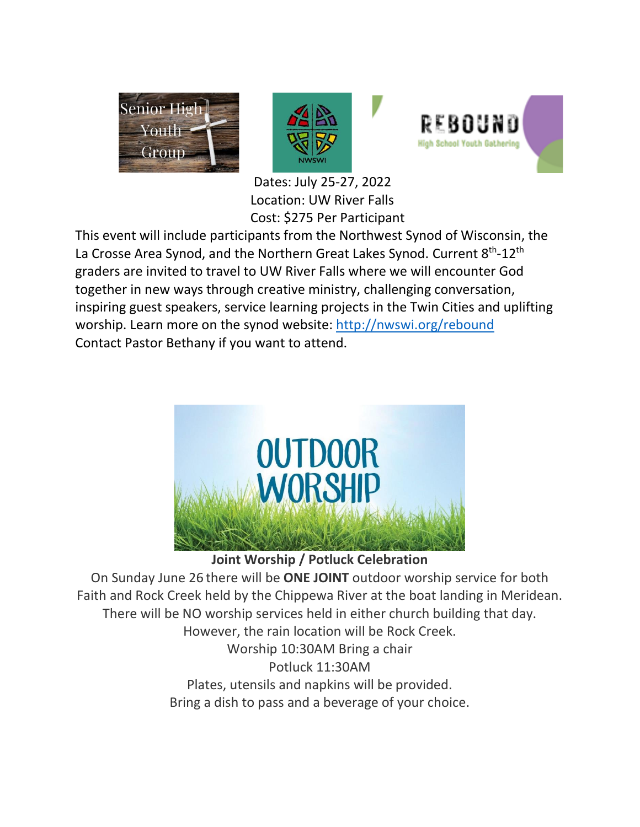





 Dates: July 25-27, 2022 Location: UW River Falls Cost: \$275 Per Participant

This event will include participants from the Northwest Synod of Wisconsin, the La Crosse Area Synod, and the Northern Great Lakes Synod. Current 8<sup>th</sup>-12<sup>th</sup> graders are invited to travel to UW River Falls where we will encounter God together in new ways through creative ministry, challenging conversation, inspiring guest speakers, service learning projects in the Twin Cities and uplifting worship. Learn more on the synod website:<http://nwswi.org/rebound> Contact Pastor Bethany if you want to attend.



**Joint Worship / Potluck Celebration**

On Sunday June 26 there will be **ONE JOINT** outdoor worship service for both Faith and Rock Creek held by the Chippewa River at the boat landing in Meridean. There will be NO worship services held in either church building that day. However, the rain location will be Rock Creek. Worship 10:30AM Bring a chair Potluck 11:30AM Plates, utensils and napkins will be provided. Bring a dish to pass and a beverage of your choice.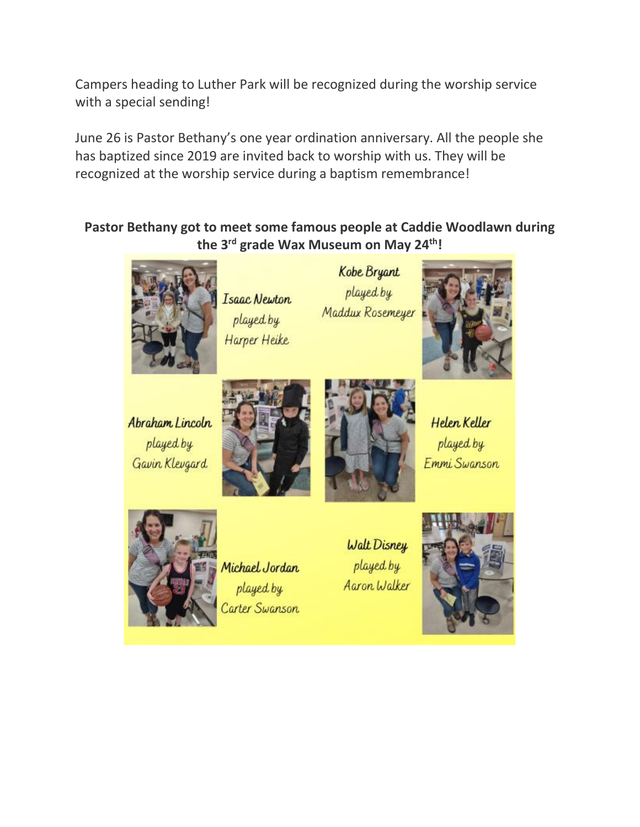Campers heading to Luther Park will be recognized during the worship service with a special sending!

June 26 is Pastor Bethany's one year ordination anniversary. All the people she has baptized since 2019 are invited back to worship with us. They will be recognized at the worship service during a baptism remembrance!

**Pastor Bethany got to meet some famous people at Caddie Woodlawn during the 3 rd grade Wax Museum on May 24th!**



Isaac Newton played by Harper Heike

Kobe Bryant played by Maddux Rosemeyer



Abraham Lincoln played by Gavin Klevgard





Helen Keller played by Emmi Swanson



Michael Jordan played by Carter Swanson

Walt Disney played by Aaron Walker

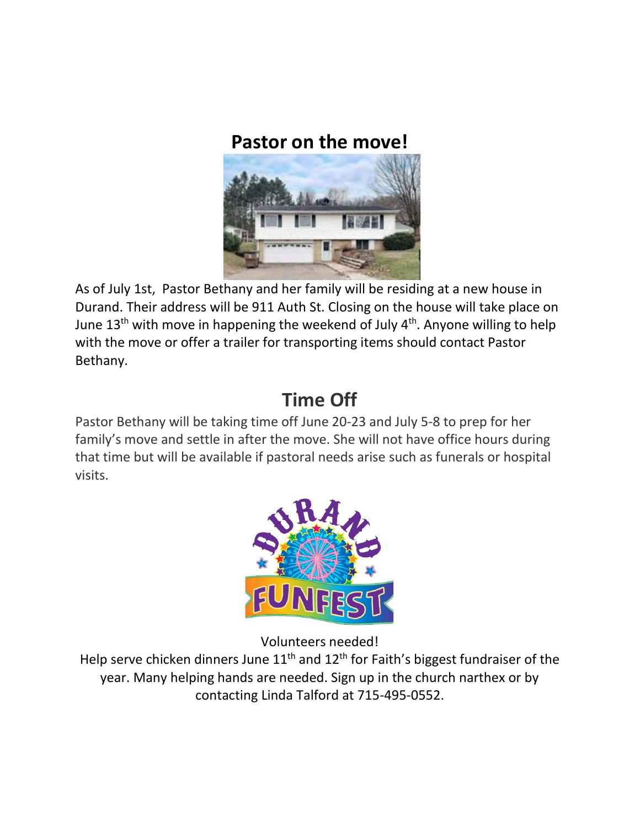## **Pastor on the move!**



As of July 1st, Pastor Bethany and her family will be residing at a new house in Durand. Their address will be 911 Auth St. Closing on the house will take place on June 13<sup>th</sup> with move in happening the weekend of July 4<sup>th</sup>. Anyone willing to help with the move or offer a trailer for transporting items should contact Pastor Bethany.

## **Time Off**

Pastor Bethany will be taking time off June 20-23 and July 5-8 to prep for her family's move and settle in after the move. She will not have office hours during that time but will be available if pastoral needs arise such as funerals or hospital visits.



Volunteers needed!

Help serve chicken dinners June  $11<sup>th</sup>$  and  $12<sup>th</sup>$  for Faith's biggest fundraiser of the year. Many helping hands are needed. Sign up in the church narthex or by contacting Linda Talford at 715-495-0552.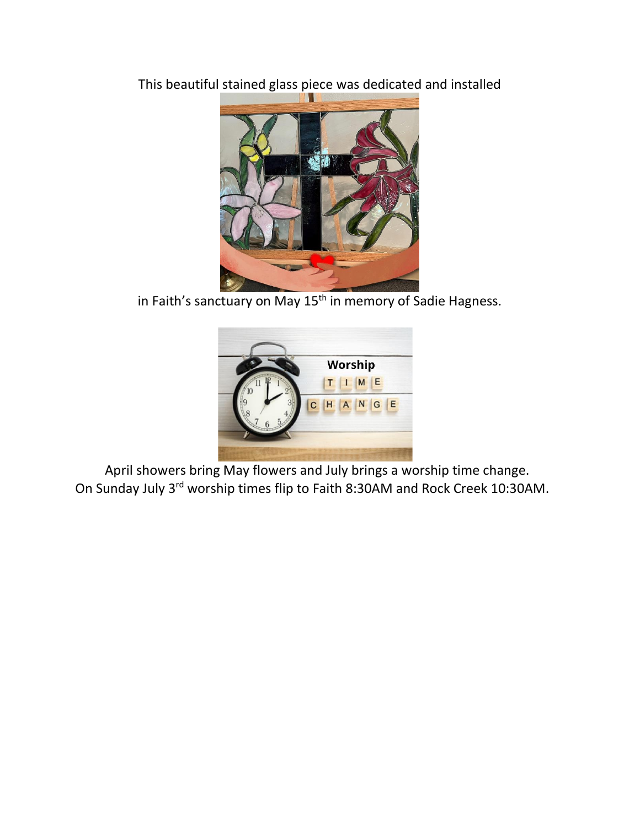This beautiful stained glass piece was dedicated and installed



in Faith's sanctuary on May 15<sup>th</sup> in memory of Sadie Hagness.



 April showers bring May flowers and July brings a worship time change. On Sunday July 3rd worship times flip to Faith 8:30AM and Rock Creek 10:30AM.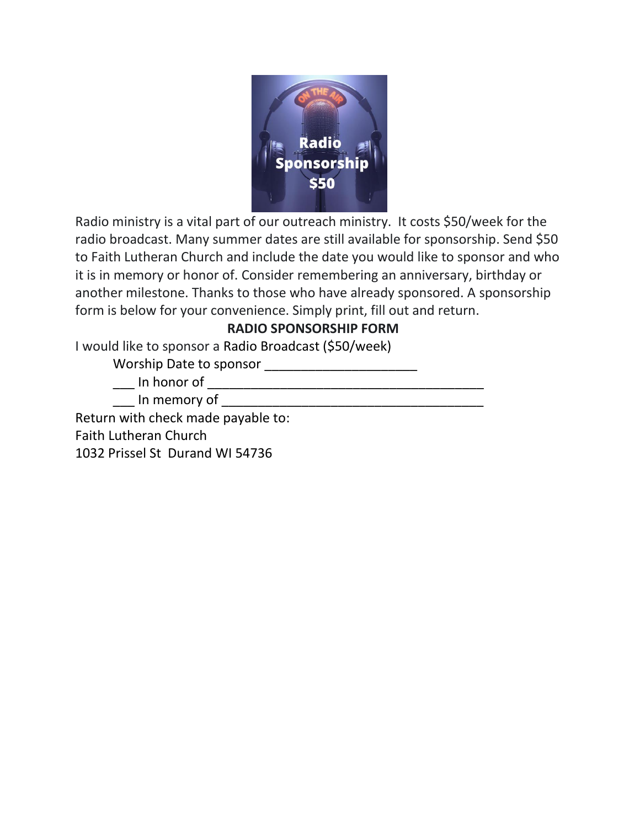

Radio ministry is a vital part of our outreach ministry. It costs \$50/week for the radio broadcast. Many summer dates are still available for sponsorship. Send \$50 to Faith Lutheran Church and include the date you would like to sponsor and who it is in memory or honor of. Consider remembering an anniversary, birthday or another milestone. Thanks to those who have already sponsored. A sponsorship form is below for your convenience. Simply print, fill out and return.

## **RADIO SPONSORSHIP FORM**

I would like to sponsor a Radio Broadcast (\$50/week)

Worship Date to sponsor \_\_\_\_\_\_\_\_\_\_\_\_\_\_\_\_\_\_\_\_\_

\_\_\_ In honor of \_\_\_\_\_\_\_\_\_\_\_\_\_\_\_\_\_\_\_\_\_\_\_\_\_\_\_\_\_\_\_\_\_

\_\_\_ In memory of \_\_\_\_\_\_\_\_\_\_\_\_\_\_\_\_\_\_\_\_\_\_\_\_\_\_\_\_\_\_\_\_\_\_\_\_

Return with check made payable to:

Faith Lutheran Church

1032 Prissel St Durand WI 54736